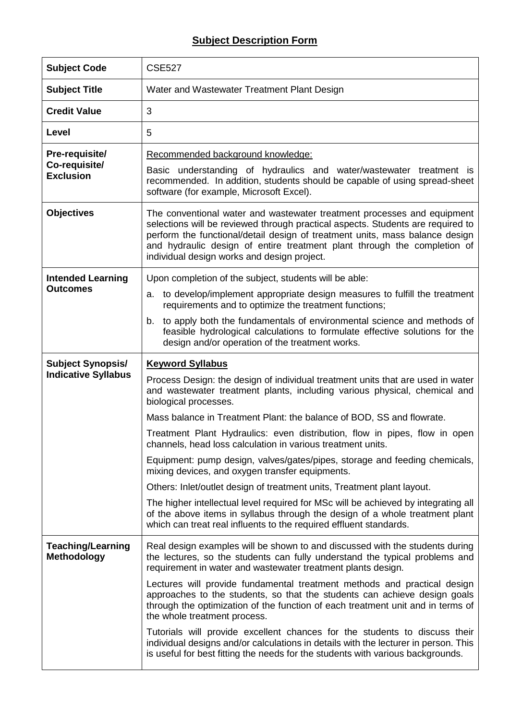## **Subject Description Form**

| <b>Subject Code</b>                                 | <b>CSE527</b>                                                                                                                                                                                                                                                                                                                                                         |
|-----------------------------------------------------|-----------------------------------------------------------------------------------------------------------------------------------------------------------------------------------------------------------------------------------------------------------------------------------------------------------------------------------------------------------------------|
| <b>Subject Title</b>                                | Water and Wastewater Treatment Plant Design                                                                                                                                                                                                                                                                                                                           |
| <b>Credit Value</b>                                 | 3                                                                                                                                                                                                                                                                                                                                                                     |
| Level                                               | 5                                                                                                                                                                                                                                                                                                                                                                     |
| Pre-requisite/<br>Co-requisite/<br><b>Exclusion</b> | Recommended background knowledge:<br>Basic understanding of hydraulics and water/wastewater treatment is                                                                                                                                                                                                                                                              |
|                                                     | recommended. In addition, students should be capable of using spread-sheet<br>software (for example, Microsoft Excel).                                                                                                                                                                                                                                                |
| <b>Objectives</b>                                   | The conventional water and wastewater treatment processes and equipment<br>selections will be reviewed through practical aspects. Students are required to<br>perform the functional/detail design of treatment units, mass balance design<br>and hydraulic design of entire treatment plant through the completion of<br>individual design works and design project. |
| <b>Intended Learning</b><br><b>Outcomes</b>         | Upon completion of the subject, students will be able:                                                                                                                                                                                                                                                                                                                |
|                                                     | to develop/implement appropriate design measures to fulfill the treatment<br>a.<br>requirements and to optimize the treatment functions;                                                                                                                                                                                                                              |
|                                                     | to apply both the fundamentals of environmental science and methods of<br>b.<br>feasible hydrological calculations to formulate effective solutions for the<br>design and/or operation of the treatment works.                                                                                                                                                        |
| <b>Subject Synopsis/</b>                            | <b>Keyword Syllabus</b>                                                                                                                                                                                                                                                                                                                                               |
| <b>Indicative Syllabus</b>                          | Process Design: the design of individual treatment units that are used in water<br>and wastewater treatment plants, including various physical, chemical and<br>biological processes.                                                                                                                                                                                 |
|                                                     | Mass balance in Treatment Plant: the balance of BOD, SS and flowrate.                                                                                                                                                                                                                                                                                                 |
|                                                     | Treatment Plant Hydraulics: even distribution, flow in pipes, flow in open<br>channels, head loss calculation in various treatment units.                                                                                                                                                                                                                             |
|                                                     | Equipment: pump design, valves/gates/pipes, storage and feeding chemicals,<br>mixing devices, and oxygen transfer equipments.                                                                                                                                                                                                                                         |
|                                                     | Others: Inlet/outlet design of treatment units, Treatment plant layout.                                                                                                                                                                                                                                                                                               |
|                                                     | The higher intellectual level required for MSc will be achieved by integrating all<br>of the above items in syllabus through the design of a whole treatment plant<br>which can treat real influents to the required effluent standards.                                                                                                                              |
| <b>Teaching/Learning</b><br><b>Methodology</b>      | Real design examples will be shown to and discussed with the students during<br>the lectures, so the students can fully understand the typical problems and<br>requirement in water and wastewater treatment plants design.                                                                                                                                           |
|                                                     | Lectures will provide fundamental treatment methods and practical design<br>approaches to the students, so that the students can achieve design goals<br>through the optimization of the function of each treatment unit and in terms of<br>the whole treatment process.                                                                                              |
|                                                     | Tutorials will provide excellent chances for the students to discuss their<br>individual designs and/or calculations in details with the lecturer in person. This<br>is useful for best fitting the needs for the students with various backgrounds.                                                                                                                  |